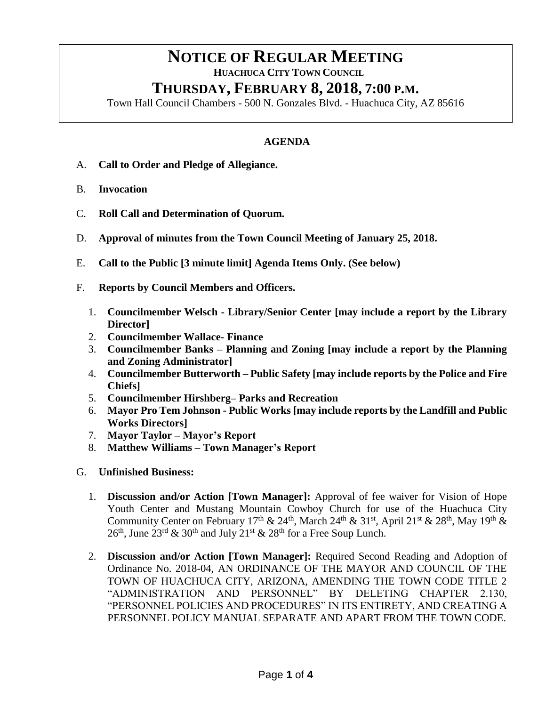## **NOTICE OF REGULAR MEETING**

 **HUACHUCA CITY TOWN COUNCIL**

## **THURSDAY, FEBRUARY 8, 2018, 7:00 P.M.**

Town Hall Council Chambers - 500 N. Gonzales Blvd. - Huachuca City, AZ 85616

## **AGENDA**

- A. **Call to Order and Pledge of Allegiance.**
- B. **Invocation**
- C. **Roll Call and Determination of Quorum.**
- D. **Approval of minutes from the Town Council Meeting of January 25, 2018.**
- E. **Call to the Public [3 minute limit] Agenda Items Only. (See below)**
- F. **Reports by Council Members and Officers.**
	- 1. **Councilmember Welsch - Library/Senior Center [may include a report by the Library Director]**
	- 2. **Councilmember Wallace- Finance**
	- 3. **Councilmember Banks – Planning and Zoning [may include a report by the Planning and Zoning Administrator]**
	- 4. **Councilmember Butterworth – Public Safety [may include reports by the Police and Fire Chiefs]**
	- 5. **Councilmember Hirshberg– Parks and Recreation**
	- 6. **Mayor Pro Tem Johnson - Public Works [may include reports by the Landfill and Public Works Directors]**
	- 7. **Mayor Taylor – Mayor's Report**
	- 8. **Matthew Williams – Town Manager's Report**
- G. **Unfinished Business:** 
	- 1. **Discussion and/or Action [Town Manager]:** Approval of fee waiver for Vision of Hope Youth Center and Mustang Mountain Cowboy Church for use of the Huachuca City Community Center on February 17<sup>th</sup> & 24<sup>th</sup>, March 24<sup>th</sup> & 31<sup>st</sup>, April 21<sup>st</sup> & 28<sup>th</sup>, May 19<sup>th</sup> &  $26<sup>th</sup>$ , June  $23<sup>rd</sup>$  &  $30<sup>th</sup>$  and July  $21<sup>st</sup>$  &  $28<sup>th</sup>$  for a Free Soup Lunch.
	- 2. **Discussion and/or Action [Town Manager]:** Required Second Reading and Adoption of Ordinance No. 2018-04, AN ORDINANCE OF THE MAYOR AND COUNCIL OF THE TOWN OF HUACHUCA CITY, ARIZONA, AMENDING THE TOWN CODE TITLE 2 "ADMINISTRATION AND PERSONNEL" BY DELETING CHAPTER 2.130, "PERSONNEL POLICIES AND PROCEDURES" IN ITS ENTIRETY, AND CREATING A PERSONNEL POLICY MANUAL SEPARATE AND APART FROM THE TOWN CODE.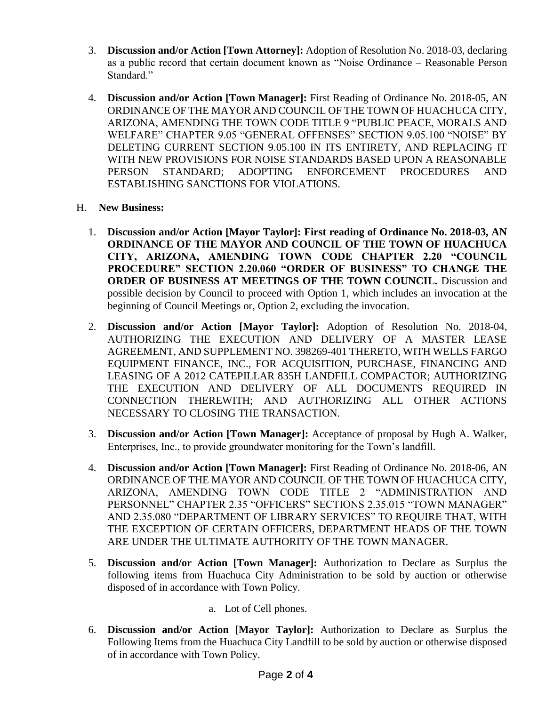- 3. **Discussion and/or Action [Town Attorney]:** Adoption of Resolution No. 2018-03, declaring as a public record that certain document known as "Noise Ordinance – Reasonable Person Standard."
- 4. **Discussion and/or Action [Town Manager]:** First Reading of Ordinance No. 2018-05, AN ORDINANCE OF THE MAYOR AND COUNCIL OF THE TOWN OF HUACHUCA CITY, ARIZONA, AMENDING THE TOWN CODE TITLE 9 "PUBLIC PEACE, MORALS AND WELFARE" CHAPTER 9.05 "GENERAL OFFENSES" SECTION 9.05.100 "NOISE" BY DELETING CURRENT SECTION 9.05.100 IN ITS ENTIRETY, AND REPLACING IT WITH NEW PROVISIONS FOR NOISE STANDARDS BASED UPON A REASONABLE PERSON STANDARD; ADOPTING ENFORCEMENT PROCEDURES AND ESTABLISHING SANCTIONS FOR VIOLATIONS.
- H. **New Business:**
	- 1. **Discussion and/or Action [Mayor Taylor]: First reading of Ordinance No. 2018-03, AN ORDINANCE OF THE MAYOR AND COUNCIL OF THE TOWN OF HUACHUCA CITY, ARIZONA, AMENDING TOWN CODE CHAPTER 2.20 "COUNCIL PROCEDURE" SECTION 2.20.060 "ORDER OF BUSINESS" TO CHANGE THE ORDER OF BUSINESS AT MEETINGS OF THE TOWN COUNCIL.** Discussion and possible decision by Council to proceed with Option 1, which includes an invocation at the beginning of Council Meetings or, Option 2, excluding the invocation.
	- 2. **Discussion and/or Action [Mayor Taylor]:** Adoption of Resolution No. 2018-04, AUTHORIZING THE EXECUTION AND DELIVERY OF A MASTER LEASE AGREEMENT, AND SUPPLEMENT NO. 398269-401 THERETO, WITH WELLS FARGO EQUIPMENT FINANCE, INC., FOR ACQUISITION, PURCHASE, FINANCING AND LEASING OF A 2012 CATEPILLAR 835H LANDFILL COMPACTOR; AUTHORIZING THE EXECUTION AND DELIVERY OF ALL DOCUMENTS REQUIRED IN CONNECTION THEREWITH; AND AUTHORIZING ALL OTHER ACTIONS NECESSARY TO CLOSING THE TRANSACTION.
	- 3. **Discussion and/or Action [Town Manager]:** Acceptance of proposal by Hugh A. Walker, Enterprises, Inc., to provide groundwater monitoring for the Town's landfill.
	- 4. **Discussion and/or Action [Town Manager]:** First Reading of Ordinance No. 2018-06, AN ORDINANCE OF THE MAYOR AND COUNCIL OF THE TOWN OF HUACHUCA CITY, ARIZONA, AMENDING TOWN CODE TITLE 2 "ADMINISTRATION AND PERSONNEL" CHAPTER 2.35 "OFFICERS" SECTIONS 2.35.015 "TOWN MANAGER" AND 2.35.080 "DEPARTMENT OF LIBRARY SERVICES" TO REQUIRE THAT, WITH THE EXCEPTION OF CERTAIN OFFICERS, DEPARTMENT HEADS OF THE TOWN ARE UNDER THE ULTIMATE AUTHORITY OF THE TOWN MANAGER.
	- 5. **Discussion and/or Action [Town Manager]:** Authorization to Declare as Surplus the following items from Huachuca City Administration to be sold by auction or otherwise disposed of in accordance with Town Policy.
		- a. Lot of Cell phones.
	- 6. **Discussion and/or Action [Mayor Taylor]:** Authorization to Declare as Surplus the Following Items from the Huachuca City Landfill to be sold by auction or otherwise disposed of in accordance with Town Policy.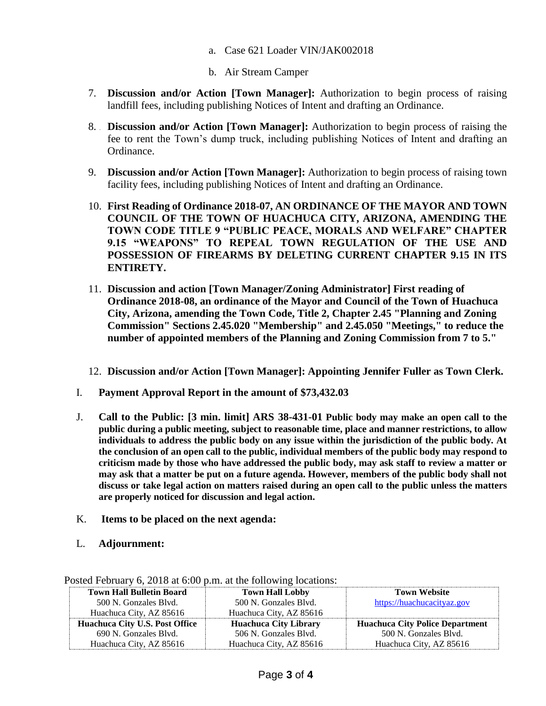- a. Case 621 Loader VIN/JAK002018
- b. Air Stream Camper
- 7. **Discussion and/or Action [Town Manager]:** Authorization to begin process of raising landfill fees, including publishing Notices of Intent and drafting an Ordinance.
- 8. **Discussion and/or Action [Town Manager]:** Authorization to begin process of raising the fee to rent the Town's dump truck, including publishing Notices of Intent and drafting an Ordinance.
- 9. **Discussion and/or Action [Town Manager]:** Authorization to begin process of raising town facility fees, including publishing Notices of Intent and drafting an Ordinance.
- 10. **First Reading of Ordinance 2018-07, AN ORDINANCE OF THE MAYOR AND TOWN COUNCIL OF THE TOWN OF HUACHUCA CITY, ARIZONA, AMENDING THE TOWN CODE TITLE 9 "PUBLIC PEACE, MORALS AND WELFARE" CHAPTER 9.15 "WEAPONS" TO REPEAL TOWN REGULATION OF THE USE AND POSSESSION OF FIREARMS BY DELETING CURRENT CHAPTER 9.15 IN ITS ENTIRETY.**
- 11. **Discussion and action [Town Manager/Zoning Administrator] First reading of Ordinance 2018-08, an ordinance of the Mayor and Council of the Town of Huachuca City, Arizona, amending the Town Code, Title 2, Chapter 2.45 "Planning and Zoning Commission" Sections 2.45.020 "Membership" and 2.45.050 "Meetings," to reduce the number of appointed members of the Planning and Zoning Commission from 7 to 5."**
- 12. **Discussion and/or Action [Town Manager]: Appointing Jennifer Fuller as Town Clerk.**
- I. **Payment Approval Report in the amount of \$73,432.03**
- J. **Call to the Public: [3 min. limit] ARS 38-431-01 Public body may make an open call to the public during a public meeting, subject to reasonable time, place and manner restrictions, to allow individuals to address the public body on any issue within the jurisdiction of the public body. At the conclusion of an open call to the public, individual members of the public body may respond to criticism made by those who have addressed the public body, may ask staff to review a matter or may ask that a matter be put on a future agenda. However, members of the public body shall not discuss or take legal action on matters raised during an open call to the public unless the matters are properly noticed for discussion and legal action.**
- K. **Items to be placed on the next agenda:**
- L. **Adjournment:**

| <b>Town Hall Bulletin Board</b>       | <b>Town Hall Lobby</b>       | <b>Town Website</b>                    |
|---------------------------------------|------------------------------|----------------------------------------|
| 500 N. Gonzales Blvd.                 | 500 N. Gonzales Blvd.        | https://huachucacityaz.gov             |
| Huachuca City, AZ 85616               | Huachuca City, AZ 85616      |                                        |
|                                       |                              |                                        |
| <b>Huachuca City U.S. Post Office</b> | <b>Huachuca City Library</b> | <b>Huachuca City Police Department</b> |
| 690 N. Gonzales Blyd.                 | 506 N. Gonzales Blvd.        | 500 N. Gonzales Blvd.                  |

Posted February 6, 2018 at 6:00 p.m. at the following locations: